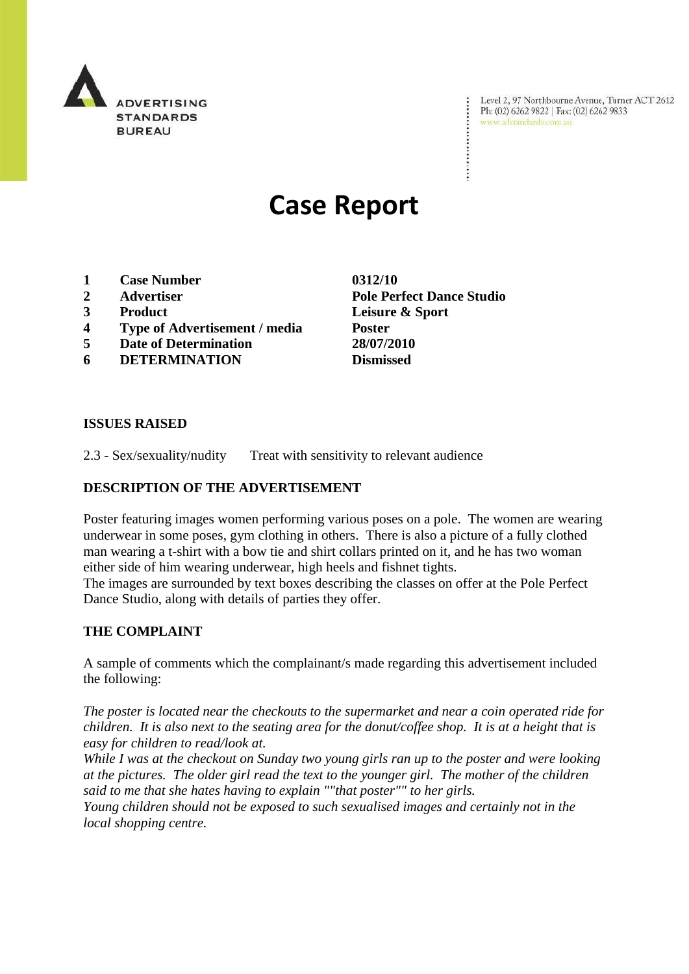

Level 2, 97 Northbourne Avenue, Turner ACT 2612 Level 2, 97 Northbourne Avenue, Turne<br>Ph: (02) 6262 9822 | Fax: (02) 6262 9833 www.adstandards.com.au

# **Case Report**

- **1 Case Number 0312/10**
- 
- 
- **4 Type of Advertisement / media Poster**
- **5 Date of Determination 28/07/2010**
- **6 DETERMINATION Dismissed**

**2 Advertiser Pole Perfect Dance Studio 3 Product Leisure & Sport**

### **ISSUES RAISED**

2.3 - Sex/sexuality/nudity Treat with sensitivity to relevant audience

### **DESCRIPTION OF THE ADVERTISEMENT**

Poster featuring images women performing various poses on a pole. The women are wearing underwear in some poses, gym clothing in others. There is also a picture of a fully clothed man wearing a t-shirt with a bow tie and shirt collars printed on it, and he has two woman either side of him wearing underwear, high heels and fishnet tights.

The images are surrounded by text boxes describing the classes on offer at the Pole Perfect Dance Studio, along with details of parties they offer.

## **THE COMPLAINT**

A sample of comments which the complainant/s made regarding this advertisement included the following:

*The poster is located near the checkouts to the supermarket and near a coin operated ride for children. It is also next to the seating area for the donut/coffee shop. It is at a height that is easy for children to read/look at.*

*While I was at the checkout on Sunday two young girls ran up to the poster and were looking at the pictures. The older girl read the text to the younger girl. The mother of the children said to me that she hates having to explain ""that poster"" to her girls.*

*Young children should not be exposed to such sexualised images and certainly not in the local shopping centre.*